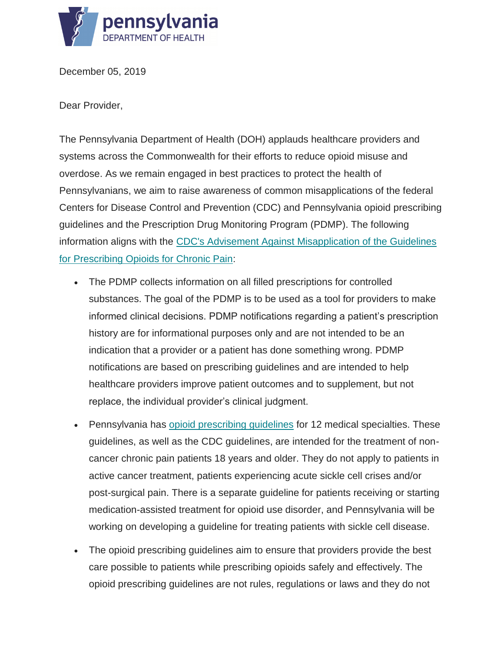

December 05, 2019

Dear Provider,

The Pennsylvania Department of Health (DOH) applauds healthcare providers and systems across the Commonwealth for their efforts to reduce opioid misuse and overdose. As we remain engaged in best practices to protect the health of Pennsylvanians, we aim to raise awareness of common misapplications of the federal Centers for Disease Control and Prevention (CDC) and Pennsylvania opioid prescribing guidelines and the Prescription Drug Monitoring Program (PDMP). The following information aligns with the [CDC's Advisement Against Misapplication of the Guidelines](https://gcc01.safelinks.protection.outlook.com/?url=https%3A%2F%2Fbit.ly%2F2WaQsoG&data=02%7C01%7Csmurzynski%40pa.gov%7Cdf8c77e2f69b4efa0bd208d779b2998a%7C418e284101284dd59b6c47fc5a9a1bde%7C0%7C0%7C637111680301790277&sdata=jqmgVz55jukvEpb%2F33XJWBT089XYNxWXJ7JT9qoWfqI%3D&reserved=0)  [for Prescribing Opioids for Chronic Pain:](https://gcc01.safelinks.protection.outlook.com/?url=https%3A%2F%2Fbit.ly%2F2WaQsoG&data=02%7C01%7Csmurzynski%40pa.gov%7Cdf8c77e2f69b4efa0bd208d779b2998a%7C418e284101284dd59b6c47fc5a9a1bde%7C0%7C0%7C637111680301790277&sdata=jqmgVz55jukvEpb%2F33XJWBT089XYNxWXJ7JT9qoWfqI%3D&reserved=0)

- The PDMP collects information on all filled prescriptions for controlled substances. The goal of the PDMP is to be used as a tool for providers to make informed clinical decisions. PDMP notifications regarding a patient's prescription history are for informational purposes only and are not intended to be an indication that a provider or a patient has done something wrong. PDMP notifications are based on prescribing guidelines and are intended to help healthcare providers improve patient outcomes and to supplement, but not replace, the individual provider's clinical judgment.
- Pennsylvania has [opioid prescribing guidelines](https://gcc01.safelinks.protection.outlook.com/?url=https%3A%2F%2Fbit.ly%2F2O6LLsf&data=02%7C01%7Csmurzynski%40pa.gov%7Cdf8c77e2f69b4efa0bd208d779b2998a%7C418e284101284dd59b6c47fc5a9a1bde%7C0%7C0%7C637111680301790277&sdata=%2BzSegyzh4wI3%2F4H%2BdNo6ZcZYB%2FjMmpmApu88PsdQtAg%3D&reserved=0) for 12 medical specialties. These guidelines, as well as the CDC guidelines, are intended for the treatment of noncancer chronic pain patients 18 years and older. They do not apply to patients in active cancer treatment, patients experiencing acute sickle cell crises and/or post-surgical pain. There is a separate guideline for patients receiving or starting medication-assisted treatment for opioid use disorder, and Pennsylvania will be working on developing a guideline for treating patients with sickle cell disease.
- The opioid prescribing quidelines aim to ensure that providers provide the best care possible to patients while prescribing opioids safely and effectively. The opioid prescribing guidelines are not rules, regulations or laws and they do not